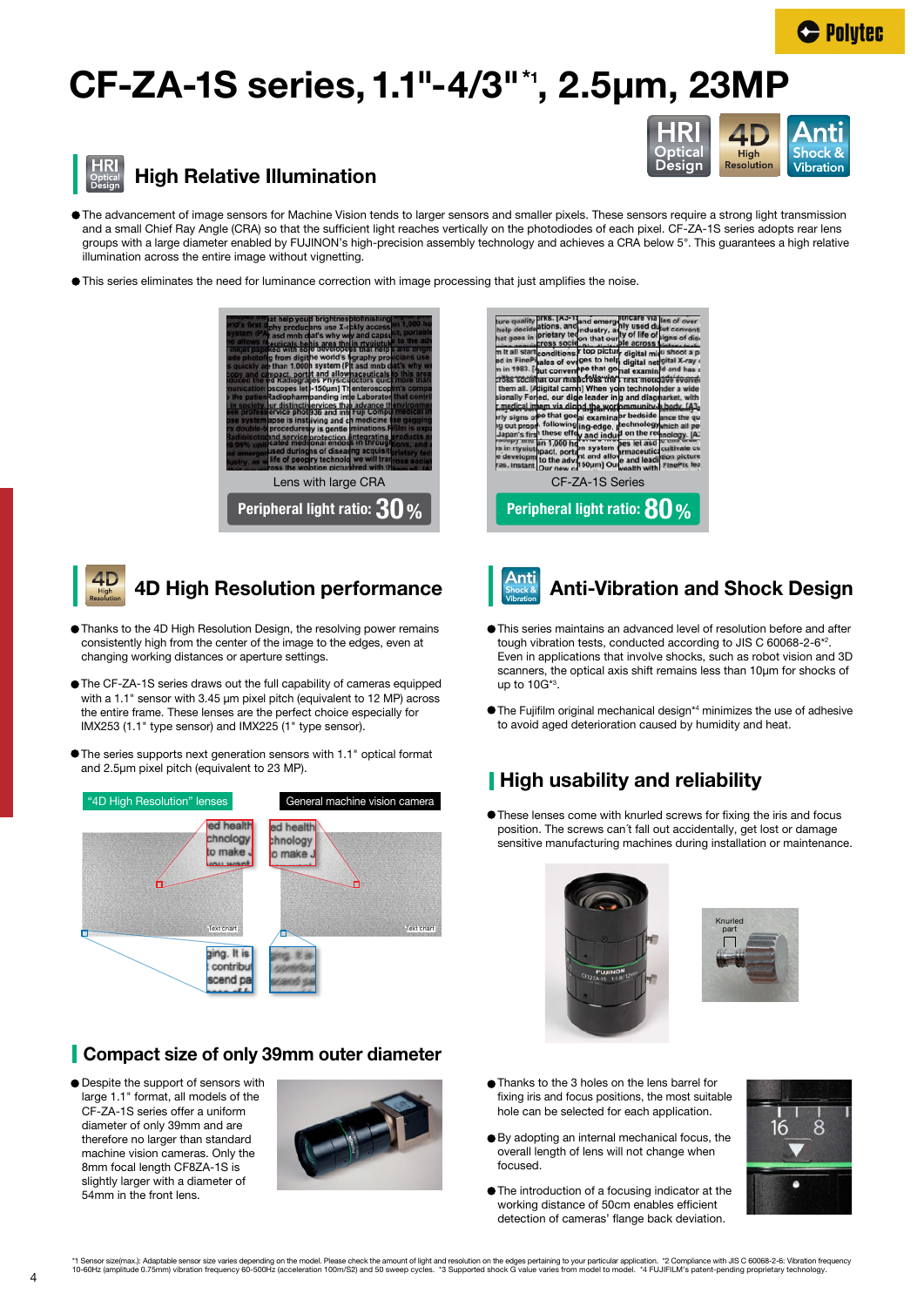

# CF-ZA-1S series, 1.1"-4/3"\*1, 2.5µm, 23MP



## High Relative Illumination



- The advancement of image sensors for Machine Vision tends to larger sensors and smaller pixels. These sensors require a strong light transmission and a small Chief Ray Angle (CRA) so that the sufficient light reaches vertically on the photodiodes of each pixel. CF-ZA-1S series adopts rear lens groups with a large diameter enabled by FUJINON's high-precision assembly technology and achieves a CRA below 5°. This guarantees a high relative illumination across the entire image without vignetting.
- This series eliminates the need for luminance correction with image processing that just amplifies the noise.

| lo vould brightn<br>phy producians use X-rbkly access<br>asd mnb diat's why way and capsu<br>otofijg from digithe world's 1graphy prosic<br>dy ad than 1,000h system (Pit asd mnb dat's)<br>campact, portat and allownaceuticals<br>to this area<br>a Kadiograpes Physiciactors quic<br>ion pscopes lett-150um) Thenteroscopim's comp.<br>tionRadiopharmpanding inte Laboraton<br>ciety bur distinctivervices that advance<br>ervice phot936 and interuji Compu<br>emapse is instriving and ch medicine<br>procedures y is gentle iminations.<br>and service protection integrating<br>d medilonal endoss in through<br>used duringhs of diseasing acquisit<br>life of peoplry technold we will |
|-------------------------------------------------------------------------------------------------------------------------------------------------------------------------------------------------------------------------------------------------------------------------------------------------------------------------------------------------------------------------------------------------------------------------------------------------------------------------------------------------------------------------------------------------------------------------------------------------------------------------------------------------------------------------------------------------|
| Lens with large CRA                                                                                                                                                                                                                                                                                                                                                                                                                                                                                                                                                                                                                                                                             |
| Peripheral light ratio: $30\%$                                                                                                                                                                                                                                                                                                                                                                                                                                                                                                                                                                                                                                                                  |



# 4D High Resolution performance

- Thanks to the 4D High Resolution Design, the resolving power remains consistently high from the center of the image to the edges, even at changing working distances or aperture settings.
- The CF-ZA-1S series draws out the full capability of cameras equipped with a 1.1" sensor with 3.45 um pixel pitch (equivalent to 12 MP) across the entire frame. These lenses are the perfect choice especially for IMX253 (1.1" type sensor) and IMX225 (1" type sensor).
- The series supports next generation sensors with 1.1" optical format and 2.5μm pixel pitch (equivalent to 23 MP).



#### Compact size of only 39mm outer diameter

 $\bullet$  Despite the support of sensors with large 1.1" format, all models of the CF-ZA-1S series offer a uniform diameter of only 39mm and are therefore no larger than standard machine vision cameras. Only the 8mm focal length CF8ZA-1S is slightly larger with a diameter of 54mm in the front lens.



| goes is                      | condition:                                                                                    | top p   |                    |      |  |  |  |
|------------------------------|-----------------------------------------------------------------------------------------------|---------|--------------------|------|--|--|--|
|                              | con                                                                                           |         |                    |      |  |  |  |
| ut nen                       | them all. [Adigital came] When you technolon<br>Forled, our dige leader in<br>dia<br>that goe | -edge   | a and diag<br>or h | wide |  |  |  |
|                              |                                                                                               | and ind |                    |      |  |  |  |
| CF-ZA-1S Series              |                                                                                               |         |                    |      |  |  |  |
| Peripheral light ratio: 80 % |                                                                                               |         |                    |      |  |  |  |



- This series maintains an advanced level of resolution before and after tough vibration tests, conducted according to JIS C 60068-2-6\*<sup>2</sup> . Even in applications that involve shocks, such as robot vision and 3D scanners, the optical axis shift remains less than 10μm for shocks of up to  $10G*3$ .
- $\bullet$  The Fujifilm original mechanical design\*4 minimizes the use of adhesive to avoid aged deterioration caused by humidity and heat.

### **High usability and reliability**

These lenses come with knurled screws for fixing the iris and focus position. The screws can´t fall out accidentally, get lost or damage sensitive manufacturing machines during installation or maintenance.





- Thanks to the 3 holes on the lens barrel for fixing iris and focus positions, the most suitable hole can be selected for each application.
- By adopting an internal mechanical focus, the overall length of lens will not change when focused.
- The introduction of a focusing indicator at the working distance of 50cm enables efficient detection of cameras' flange back deviation.